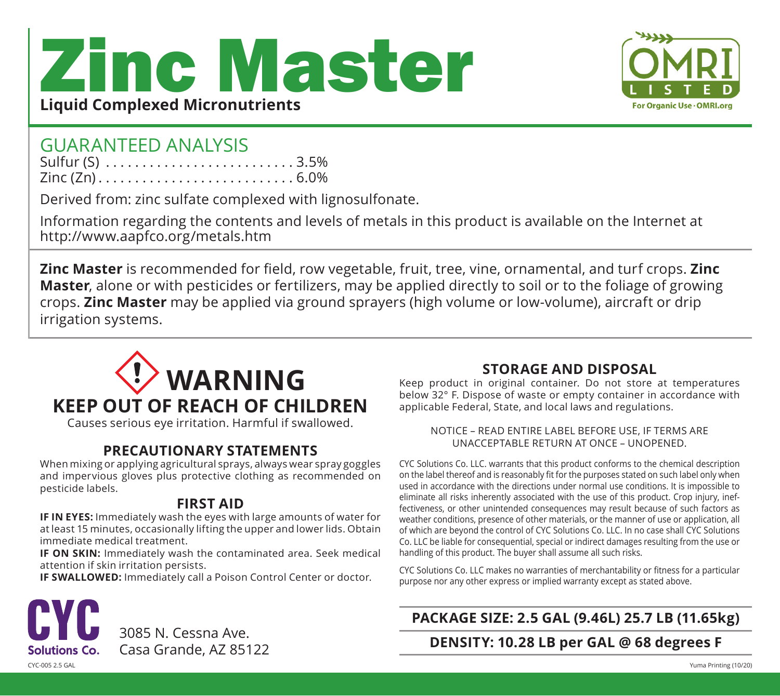# Zinc Master **Liquid Complexed Micronutrients**



## GUARANTEED ANALYSIS

| Sulfur (S) $\dots \dots \dots \dots \dots \dots \dots \dots \dots 3.5\%$ |  |  |  |  |  |  |  |  |  |  |  |  |  |
|--------------------------------------------------------------------------|--|--|--|--|--|--|--|--|--|--|--|--|--|
|                                                                          |  |  |  |  |  |  |  |  |  |  |  |  |  |

Derived from: zinc sulfate complexed with lignosulfonate.

Information regarding the contents and levels of metals in this product is available on the Internet at http://www.aapfco.org/metals.htm

**Zinc Master** is recommended for field, row vegetable, fruit, tree, vine, ornamental, and turf crops. **Zinc Master**, alone or with pesticides or fertilizers, may be applied directly to soil or to the foliage of growing crops. **Zinc Master** may be applied via ground sprayers (high volume or low-volume), aircraft or drip irrigation systems.



Causes serious eye irritation. Harmful if swallowed.

#### **PRECAUTIONARY STATEMENTS**

When mixing or applying agricultural sprays, always wear spray goggles and impervious gloves plus protective clothing as recommended on pesticide labels.

#### **FIRST AID**

**IF IN EYES:** Immediately wash the eyes with large amounts of water for at least 15 minutes, occasionally lifting the upper and lower lids. Obtain immediate medical treatment.

**IF ON SKIN:** Immediately wash the contaminated area. Seek medical attention if skin irritation persists.

**IF SWALLOWED:** Immediately call a Poison Control Center or doctor.

# 3085 N. Cessna Ave. Casa Grande, AZ 85122**Solutions Co.**

**STORAGE AND DISPOSAL**

Keep product in original container. Do not store at temperatures below 32° F. Dispose of waste or empty container in accordance with applicable Federal, State, and local laws and regulations.

NOTICE – READ ENTIRE LABEL BEFORE USE, IF TERMS ARE UNACCEPTABLE RETURN AT ONCE – UNOPENED.

CYC Solutions Co. LLC. warrants that this product conforms to the chemical description on the label thereof and is reasonably fit for the purposes stated on such label only when used in accordance with the directions under normal use conditions. It is impossible to eliminate all risks inherently associated with the use of this product. Crop injury, ineffectiveness, or other unintended consequences may result because of such factors as weather conditions, presence of other materials, or the manner of use or application, all of which are beyond the control of CYC Solutions Co. LLC. In no case shall CYC Solutions Co. LLC be liable for consequential, special or indirect damages resulting from the use or handling of this product. The buyer shall assume all such risks.

CYC Solutions Co. LLC makes no warranties of merchantability or fitness for a particular purpose nor any other express or implied warranty except as stated above.

#### **PACKAGE SIZE: 2.5 GAL (9.46L) 25.7 LB (11.65kg)**

**DENSITY: 10.28 LB per GAL @ 68 degrees F**